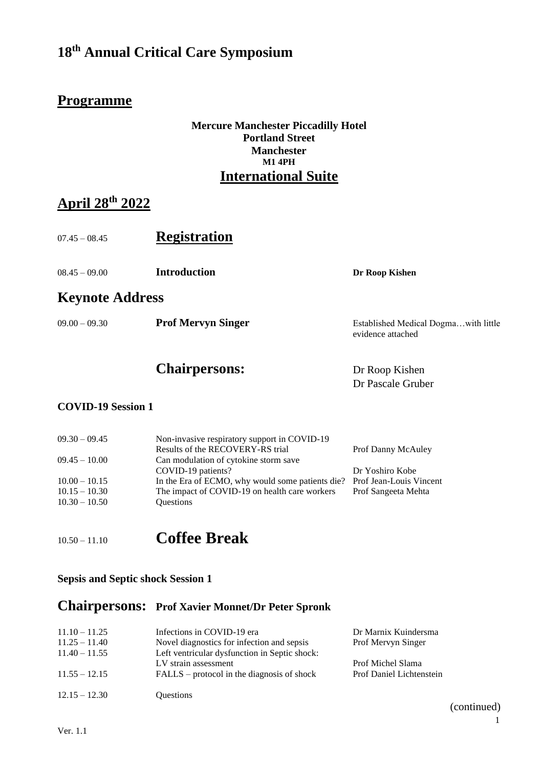### **Programme**

#### **Mercure Manchester Piccadilly Hotel Portland Street Manchester M1 4PH International Suite**

### **April 28th 2022**

| $07.45 - 08.45$        | <b>Registration</b> |                |  |  |
|------------------------|---------------------|----------------|--|--|
| $08.45 - 09.00$        | <b>Introduction</b> | Dr Roop Kishen |  |  |
| <b>Keynote Address</b> |                     |                |  |  |

09.00 – 09.30 **Prof Mervyn Singer** Established Medical Dogma…with little

### Chairpersons: Dr Roop Kishen

evidence attached

Dr Pascale Gruber

#### **COVID-19 Session 1**

| $09.30 - 09.45$ | Non-invasive respiratory support in COVID-19     |                         |
|-----------------|--------------------------------------------------|-------------------------|
|                 | Results of the RECOVERY-RS trial                 | Prof Danny McAuley      |
| $09.45 - 10.00$ | Can modulation of cytokine storm save            |                         |
|                 | COVID-19 patients?                               | Dr Yoshiro Kobe         |
| $10.00 - 10.15$ | In the Era of ECMO, why would some patients die? | Prof Jean-Louis Vincent |
| $10.15 - 10.30$ | The impact of COVID-19 on health care workers    | Prof Sangeeta Mehta     |
| $10.30 - 10.50$ | <b>Ouestions</b>                                 |                         |
|                 |                                                  |                         |

10.50 – 11.10 **Coffee Break**

#### **Sepsis and Septic shock Session 1**

### **Chairpersons: Prof Xavier Monnet/Dr Peter Spronk**

| $11.10 - 11.25$ | Infections in COVID-19 era                    | Dr Marnix Kuindersma     |
|-----------------|-----------------------------------------------|--------------------------|
| $11.25 - 11.40$ | Novel diagnostics for infection and sepsis    | Prof Mervyn Singer       |
| $11.40 - 11.55$ | Left ventricular dysfunction in Septic shock: |                          |
|                 | LV strain assessment                          | Prof Michel Slama        |
| $11.55 - 12.15$ | $FALSE$ – protocol in the diagnosis of shock  | Prof Daniel Lichtenstein |
| $12.15 - 12.30$ | <b>Ouestions</b>                              |                          |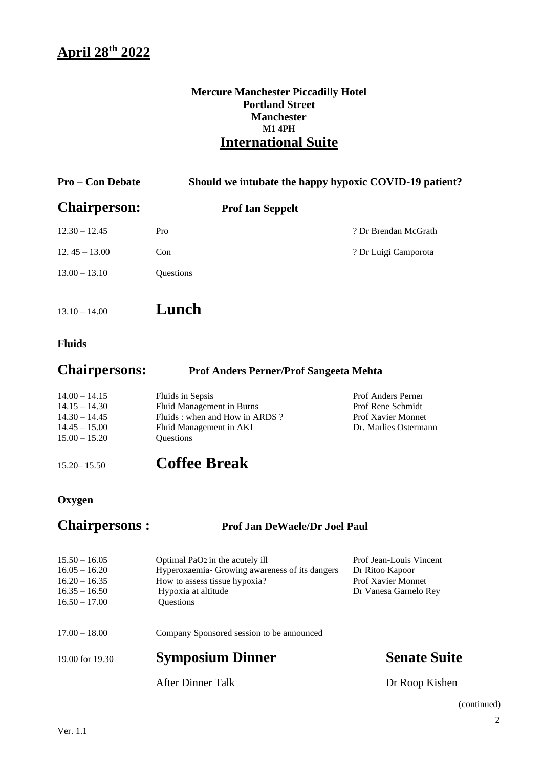#### **Mercure Manchester Piccadilly Hotel Portland Street Manchester M1 4PH International Suite**

| <b>Pro – Con Debate</b> |                         | Should we intubate the happy hypoxic COVID-19 patient? |
|-------------------------|-------------------------|--------------------------------------------------------|
| <b>Chairperson:</b>     | <b>Prof Ian Seppelt</b> |                                                        |
| $12.30 - 12.45$         | Pro                     | ? Dr Brendan McGrath                                   |
| $12.45 - 13.00$         | Con                     | ? Dr Luigi Camporota                                   |
| $13.00 - 13.10$         | <b>Ouestions</b>        |                                                        |
|                         |                         |                                                        |

- 13.10 14.00 **Lunch**
- **Fluids**

| <b>Chairpersons:</b> | <b>Prof Anders Perner/Prof Sangeeta Mehta</b> |
|----------------------|-----------------------------------------------|
|----------------------|-----------------------------------------------|

| $14.00 - 14.15$ | Fluids in Sepsis                | <b>Prof Anders Perner</b> |
|-----------------|---------------------------------|---------------------------|
| $14.15 - 14.30$ | Fluid Management in Burns       | Prof Rene Schmidt         |
| $14.30 - 14.45$ | Fluids : when and How in ARDS ? | <b>Prof Xavier Monnet</b> |
| $14.45 - 15.00$ | Fluid Management in AKI         | Dr. Marlies Ostermann     |
| $15.00 - 15.20$ | <b>Ouestions</b>                |                           |
|                 |                                 |                           |

15.20– 15.50 **Coffee Break**

### **Oxygen**

### **Chairpersons : Prof Jan DeWaele/Dr Joel Paul**

| $15.50 - 16.05$<br>$16.05 - 16.20$<br>$16.20 - 16.35$<br>$16.35 - 16.50$<br>$16.50 - 17.00$ | Optimal PaO <sub>2</sub> in the acutely ill<br>Hyperoxaemia- Growing awareness of its dangers<br>How to assess tissue hypoxia?<br>Hypoxia at altitude<br>Questions | Prof Jean-Louis Vincent<br>Dr Ritoo Kapoor<br>Prof Xavier Monnet<br>Dr Vanesa Garnelo Rey |
|---------------------------------------------------------------------------------------------|--------------------------------------------------------------------------------------------------------------------------------------------------------------------|-------------------------------------------------------------------------------------------|
| $17.00 - 18.00$                                                                             | Company Sponsored session to be announced                                                                                                                          |                                                                                           |
| 19.00 for 19.30                                                                             | <b>Symposium Dinner</b>                                                                                                                                            | <b>Senate Suite</b>                                                                       |
|                                                                                             | After Dinner Talk                                                                                                                                                  | Dr Roop Kishen                                                                            |

(continued)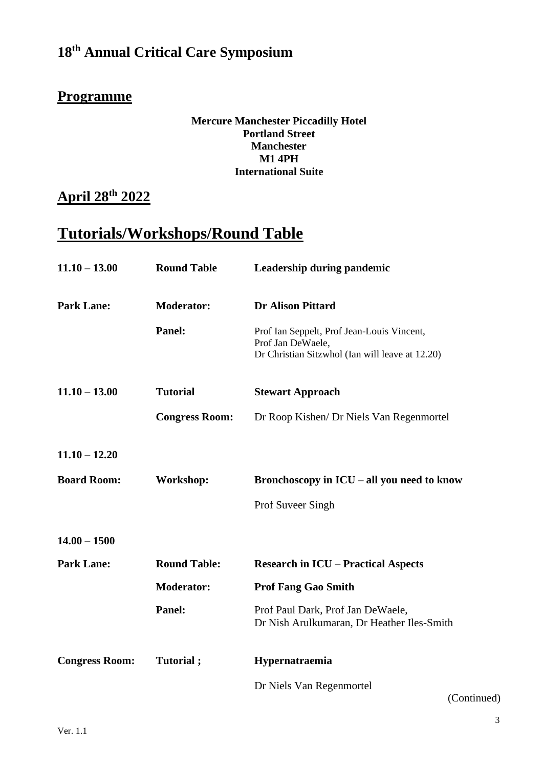### **Programme**

#### **Mercure Manchester Piccadilly Hotel Portland Street Manchester M1 4PH International Suite**

# **April 28th 2022**

# **Tutorials/Workshops/Round Table**

| $11.10 - 13.00$       | <b>Round Table</b>    | Leadership during pandemic                                                                                         |
|-----------------------|-----------------------|--------------------------------------------------------------------------------------------------------------------|
| <b>Park Lane:</b>     | <b>Moderator:</b>     | <b>Dr Alison Pittard</b>                                                                                           |
|                       | Panel:                | Prof Ian Seppelt, Prof Jean-Louis Vincent,<br>Prof Jan DeWaele,<br>Dr Christian Sitzwhol (Ian will leave at 12.20) |
| $11.10 - 13.00$       | <b>Tutorial</b>       | <b>Stewart Approach</b>                                                                                            |
|                       | <b>Congress Room:</b> | Dr Roop Kishen/ Dr Niels Van Regenmortel                                                                           |
| $11.10 - 12.20$       |                       |                                                                                                                    |
| <b>Board Room:</b>    | Workshop:             | Bronchoscopy in ICU – all you need to know                                                                         |
|                       |                       | Prof Suveer Singh                                                                                                  |
| $14.00 - 1500$        |                       |                                                                                                                    |
| <b>Park Lane:</b>     | <b>Round Table:</b>   | <b>Research in ICU - Practical Aspects</b>                                                                         |
|                       | <b>Moderator:</b>     | <b>Prof Fang Gao Smith</b>                                                                                         |
|                       | Panel:                | Prof Paul Dark, Prof Jan DeWaele,<br>Dr Nish Arulkumaran, Dr Heather Iles-Smith                                    |
| <b>Congress Room:</b> | Tutorial;             | Hypernatraemia                                                                                                     |
|                       |                       | Dr Niels Van Regenmortel<br>(Continued)                                                                            |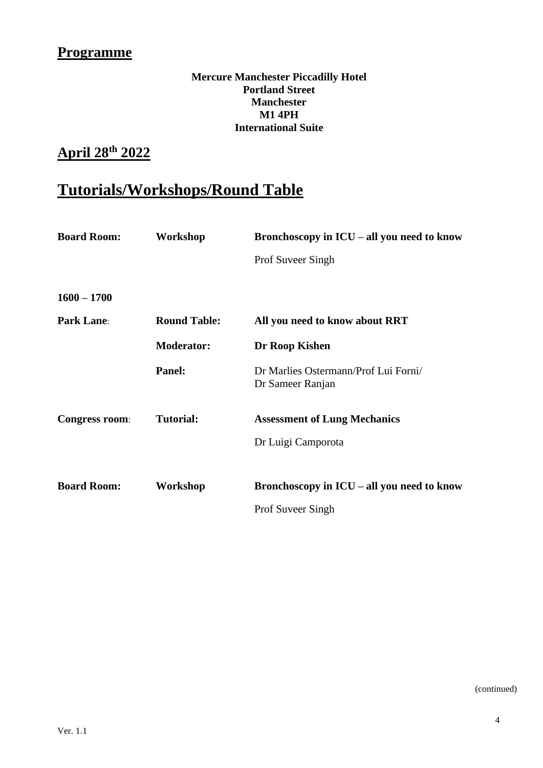### **Programme**

#### **Mercure Manchester Piccadilly Hotel Portland Street Manchester M1 4PH International Suite**

# **April 28th 2022**

# **Tutorials/Workshops/Round Table**

| <b>Board Room:</b>    | Workshop            | Bronchoscopy in $ICU - all$ you need to know             |
|-----------------------|---------------------|----------------------------------------------------------|
|                       |                     | Prof Suveer Singh                                        |
| $1600 - 1700$         |                     |                                                          |
| <b>Park Lane:</b>     | <b>Round Table:</b> | All you need to know about RRT                           |
|                       | <b>Moderator:</b>   | Dr Roop Kishen                                           |
|                       | Panel:              | Dr Marlies Ostermann/Prof Lui Forni/<br>Dr Sameer Ranjan |
| <b>Congress room:</b> | <b>Tutorial:</b>    | <b>Assessment of Lung Mechanics</b>                      |
|                       |                     | Dr Luigi Camporota                                       |
|                       |                     |                                                          |
| <b>Board Room:</b>    | Workshop            | Bronchoscopy in $ICU - all$ you need to know             |
|                       |                     | <b>Prof Suveer Singh</b>                                 |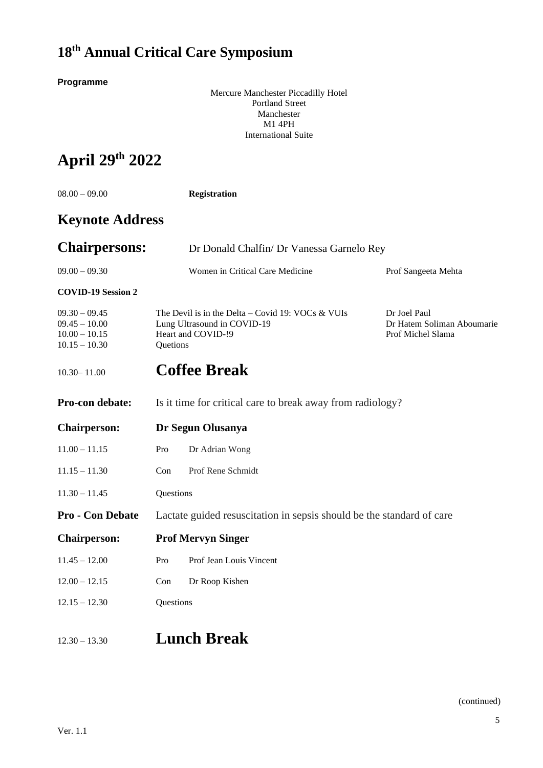**Programme**

Mercure Manchester Piccadilly Hotel Portland Street Manchester M1 4PH International Suite

# **April 29 th 2022**

| $08.00 - 09.00$                                                          |                           | <b>Registration</b>                                                                                    |                                                                 |
|--------------------------------------------------------------------------|---------------------------|--------------------------------------------------------------------------------------------------------|-----------------------------------------------------------------|
| <b>Keynote Address</b>                                                   |                           |                                                                                                        |                                                                 |
| <b>Chairpersons:</b>                                                     |                           | Dr Donald Chalfin/ Dr Vanessa Garnelo Rey                                                              |                                                                 |
| $09.00 - 09.30$                                                          |                           | Women in Critical Care Medicine                                                                        | Prof Sangeeta Mehta                                             |
| <b>COVID-19 Session 2</b>                                                |                           |                                                                                                        |                                                                 |
| $09.30 - 09.45$<br>$09.45 - 10.00$<br>$10.00 - 10.15$<br>$10.15 - 10.30$ | Quetions                  | The Devil is in the Delta – Covid 19: VOCs & VUIs<br>Lung Ultrasound in COVID-19<br>Heart and COVID-!9 | Dr Joel Paul<br>Dr Hatem Soliman Aboumarie<br>Prof Michel Slama |
| $10.30 - 11.00$                                                          |                           | <b>Coffee Break</b>                                                                                    |                                                                 |
| Pro-con debate:                                                          |                           | Is it time for critical care to break away from radiology?                                             |                                                                 |
| <b>Chairperson:</b>                                                      | Dr Segun Olusanya         |                                                                                                        |                                                                 |
| $11.00 - 11.15$                                                          | Pro                       | Dr Adrian Wong                                                                                         |                                                                 |
| $11.15 - 11.30$                                                          | Con                       | Prof Rene Schmidt                                                                                      |                                                                 |
| $11.30 - 11.45$                                                          | Questions                 |                                                                                                        |                                                                 |
| Pro - Con Debate                                                         |                           | Lactate guided resuscitation in sepsis should be the standard of care                                  |                                                                 |
| <b>Chairperson:</b>                                                      | <b>Prof Mervyn Singer</b> |                                                                                                        |                                                                 |
| $11.45 - 12.00$                                                          | Pro                       | Prof Jean Louis Vincent                                                                                |                                                                 |
| $12.00 - 12.15$                                                          | Con                       | Dr Roop Kishen                                                                                         |                                                                 |
| $12.15 - 12.30$                                                          | Questions                 |                                                                                                        |                                                                 |
| $12.30 - 13.30$                                                          |                           | <b>Lunch Break</b>                                                                                     |                                                                 |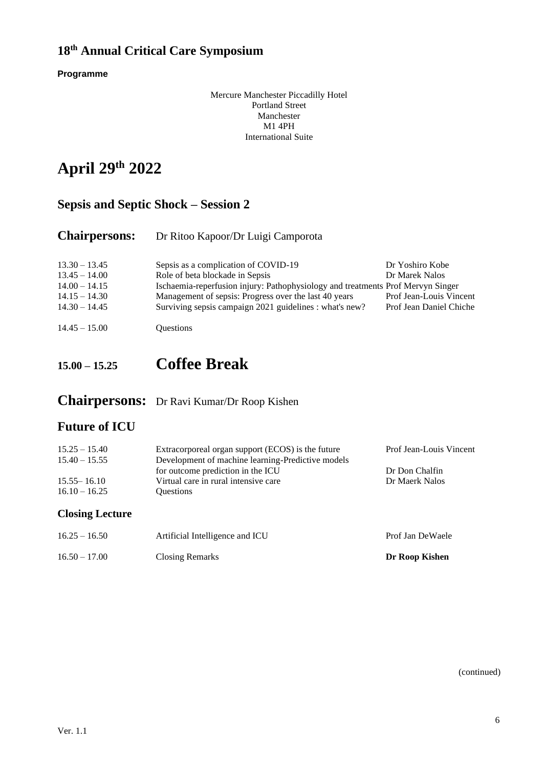**Programme**

Mercure Manchester Piccadilly Hotel Portland Street Manchester M1 4PH International Suite

# **April 29 th 2022**

### **Sepsis and Septic Shock – Session 2**

### **Chairpersons:** Dr Ritoo Kapoor/Dr Luigi Camporota

| $13.30 - 13.45$ | Sepsis as a complication of COVID-19                                            | Dr Yoshiro Kobe         |
|-----------------|---------------------------------------------------------------------------------|-------------------------|
| $13.45 - 14.00$ | Role of beta blockade in Sepsis                                                 | Dr Marek Nalos          |
| $14.00 - 14.15$ | Ischaemia-reperfusion injury: Pathophysiology and treatments Prof Mervyn Singer |                         |
| $14.15 - 14.30$ | Management of sepsis: Progress over the last 40 years                           | Prof Jean-Louis Vincent |
| $14.30 - 14.45$ | Surviving sepsis campaign 2021 guidelines : what's new?                         | Prof Jean Daniel Chiche |
| $14.45 - 15.00$ | <b>Ouestions</b>                                                                |                         |

## **15.00 – 15.25 Coffee Break**

### **Chairpersons:** Dr Ravi Kumar/Dr Roop Kishen

### **Future of ICU**

| <b>Closing Lecture</b> |                                                   |                         |
|------------------------|---------------------------------------------------|-------------------------|
| $16.10 - 16.25$        | <b>Ouestions</b>                                  |                         |
| $15.55 - 16.10$        | Virtual care in rural intensive care              | Dr Maerk Nalos          |
|                        | for outcome prediction in the ICU                 | Dr Don Chalfin          |
| $15.40 - 15.55$        | Development of machine learning-Predictive models |                         |
| $15.25 - 15.40$        | Extracorporeal organ support (ECOS) is the future | Prof Jean-Louis Vincent |

| $16.25 - 16.50$ | Artificial Intelligence and ICU | Prof Jan DeWaele |
|-----------------|---------------------------------|------------------|
| $16.50 - 17.00$ | <b>Closing Remarks</b>          | Dr Roop Kishen   |

(continued)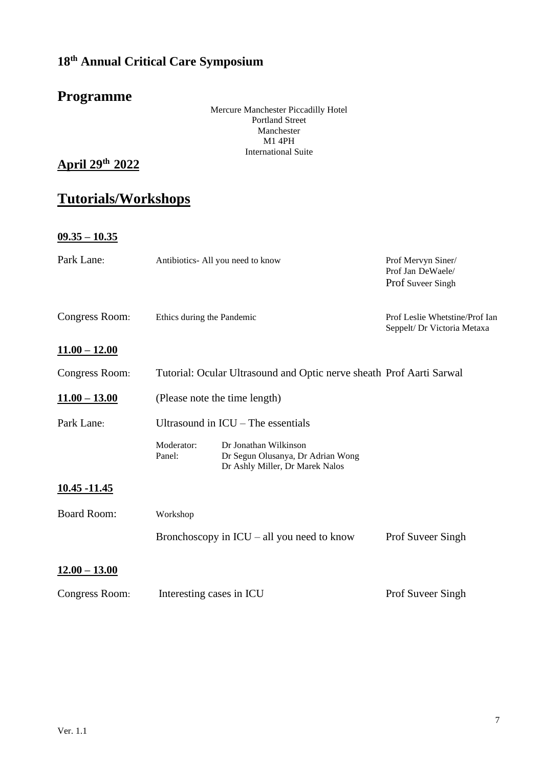# **Programme**

Mercure Manchester Piccadilly Hotel Portland Street Manchester M1 4PH International Suite

**April 29 th 2022**

# **Tutorials/Workshops**

**09.35 – 10.35**

| Park Lane:                              | Antibiotics-All you need to know                                     |                                                                                               | Prof Mervyn Siner/<br>Prof Jan DeWaele/<br>Prof Suveer Singh  |  |
|-----------------------------------------|----------------------------------------------------------------------|-----------------------------------------------------------------------------------------------|---------------------------------------------------------------|--|
| Congress Room:                          | Ethics during the Pandemic                                           |                                                                                               | Prof Leslie Whetstine/Prof Ian<br>Seppelt/ Dr Victoria Metaxa |  |
| $11.00 - 12.00$                         |                                                                      |                                                                                               |                                                               |  |
| Congress Room:                          | Tutorial: Ocular Ultrasound and Optic nerve sheath Prof Aarti Sarwal |                                                                                               |                                                               |  |
| $\underline{11.00} - \underline{13.00}$ | (Please note the time length)                                        |                                                                                               |                                                               |  |
| Park Lane:                              | Ultrasound in $ICU$ – The essentials                                 |                                                                                               |                                                               |  |
|                                         | Moderator:<br>Panel:                                                 | Dr Jonathan Wilkinson<br>Dr Segun Olusanya, Dr Adrian Wong<br>Dr Ashly Miller, Dr Marek Nalos |                                                               |  |
| 10.45 -11.45                            |                                                                      |                                                                                               |                                                               |  |
| <b>Board Room:</b>                      | Workshop                                                             |                                                                                               |                                                               |  |
|                                         | Bronchoscopy in $ICU - all$ you need to know                         |                                                                                               | Prof Suveer Singh                                             |  |
| $12.00 - 13.00$                         |                                                                      |                                                                                               |                                                               |  |
| Congress Room:                          | Interesting cases in ICU                                             |                                                                                               | Prof Suveer Singh                                             |  |